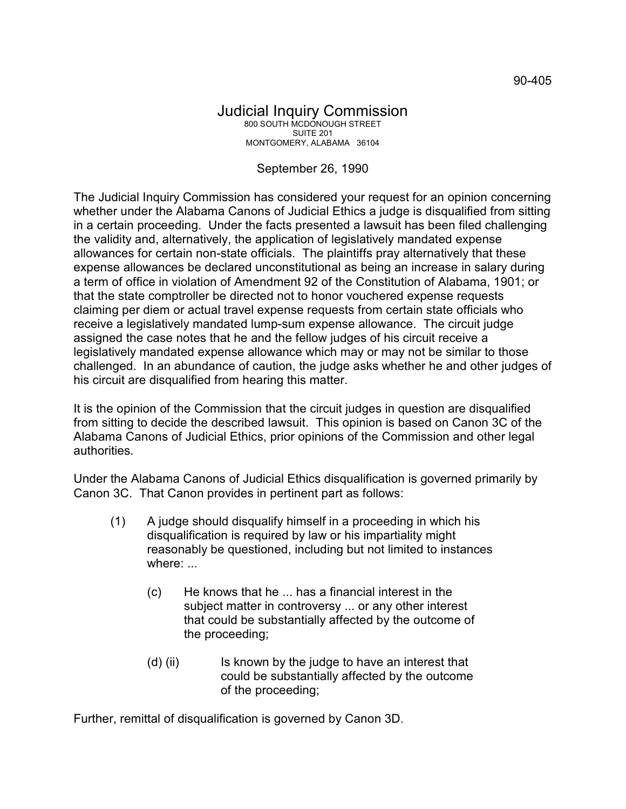## Judicial Inquiry Commission 800 SOUTH MCDONOUGH STREET SUITE 201 MONTGOMERY, ALABAMA 36104

## September 26, 1990

The Judicial Inquiry Commission has considered your request for an opinion concerning whether under the Alabama Canons of Judicial Ethics a judge is disqualified from sitting in a certain proceeding. Under the facts presented a lawsuit has been filed challenging the validity and, alternatively, the application of legislatively mandated expense allowances for certain non-state officials. The plaintiffs pray alternatively that these expense allowances be declared unconstitutional as being an increase in salary during a term of office in violation of Amendment 92 of the Constitution of Alabama, 1901; or that the state comptroller be directed not to honor vouchered expense requests claiming per diem or actual travel expense requests from certain state officials who receive a legislatively mandated lump-sum expense allowance. The circuit judge assigned the case notes that he and the fellow judges of his circuit receive a legislatively mandated expense allowance which may or may not be similar to those challenged. In an abundance of caution, the judge asks whether he and other judges of his circuit are disqualified from hearing this matter.

It is the opinion of the Commission that the circuit judges in question are disqualified from sitting to decide the described lawsuit. This opinion is based on Canon 3C of the Alabama Canons of Judicial Ethics, prior opinions of the Commission and other legal authorities.

Under the Alabama Canons of Judicial Ethics disqualification is governed primarily by Canon 3C. That Canon provides in pertinent part as follows:

- (1) A judge should disqualify himself in a proceeding in which his disqualification is required by law or his impartiality might reasonably be questioned, including but not limited to instances where: ...
	- (c) He knows that he ... has a financial interest in the subject matter in controversy ... or any other interest that could be substantially affected by the outcome of the proceeding;
	- (d) (ii) Is known by the judge to have an interest that could be substantially affected by the outcome of the proceeding;

Further, remittal of disqualification is governed by Canon 3D.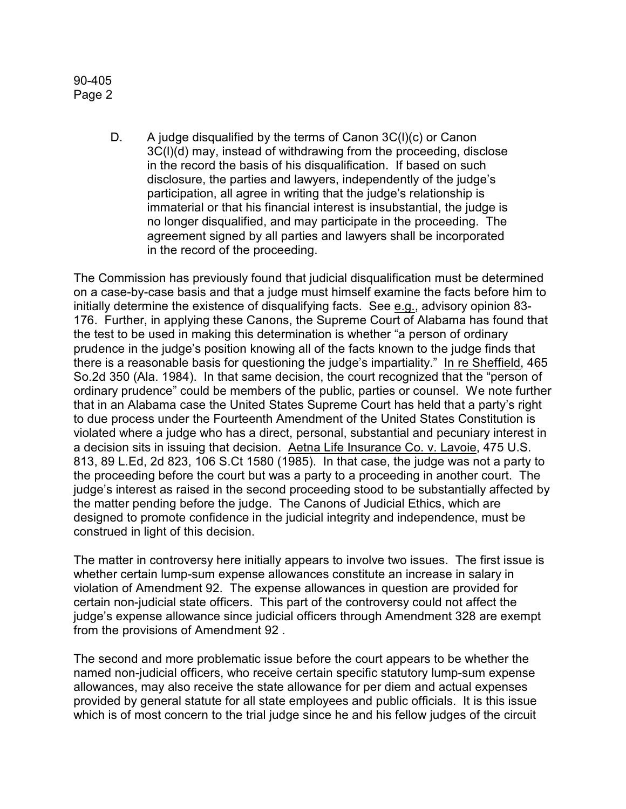90-405 Page 2

> D. A judge disqualified by the terms of Canon 3C(l)(c) or Canon 3C(l)(d) may, instead of withdrawing from the proceeding, disclose in the record the basis of his disqualification. If based on such disclosure, the parties and lawyers, independently of the judge's participation, all agree in writing that the judge's relationship is immaterial or that his financial interest is insubstantial, the judge is no longer disqualified, and may participate in the proceeding. The agreement signed by all parties and lawyers shall be incorporated in the record of the proceeding.

The Commission has previously found that judicial disqualification must be determined on a case-by-case basis and that a judge must himself examine the facts before him to initially determine the existence of disqualifying facts. See e.g., advisory opinion 83- 176. Further, in applying these Canons, the Supreme Court of Alabama has found that the test to be used in making this determination is whether "a person of ordinary prudence in the judge's position knowing all of the facts known to the judge finds that there is a reasonable basis for questioning the judge's impartiality." In re Sheffield, 465 So.2d 350 (Ala. 1984). In that same decision, the court recognized that the "person of ordinary prudence" could be members of the public, parties or counsel. We note further that in an Alabama case the United States Supreme Court has held that a party's right to due process under the Fourteenth Amendment of the United States Constitution is violated where a judge who has a direct, personal, substantial and pecuniary interest in a decision sits in issuing that decision. Aetna Life Insurance Co. v. Lavoie, 475 U.S. 813, 89 L.Ed, 2d 823, 106 S.Ct 1580 (1985). In that case, the judge was not a party to the proceeding before the court but was a party to a proceeding in another court. The judge's interest as raised in the second proceeding stood to be substantially affected by the matter pending before the judge. The Canons of Judicial Ethics, which are designed to promote confidence in the judicial integrity and independence, must be construed in light of this decision.

The matter in controversy here initially appears to involve two issues. The first issue is whether certain lump-sum expense allowances constitute an increase in salary in violation of Amendment 92. The expense allowances in question are provided for certain non-judicial state officers. This part of the controversy could not affect the judge's expense allowance since judicial officers through Amendment 328 are exempt from the provisions of Amendment 92 .

The second and more problematic issue before the court appears to be whether the named non-judicial officers, who receive certain specific statutory lump-sum expense allowances, may also receive the state allowance for per diem and actual expenses provided by general statute for all state employees and public officials. It is this issue which is of most concern to the trial judge since he and his fellow judges of the circuit